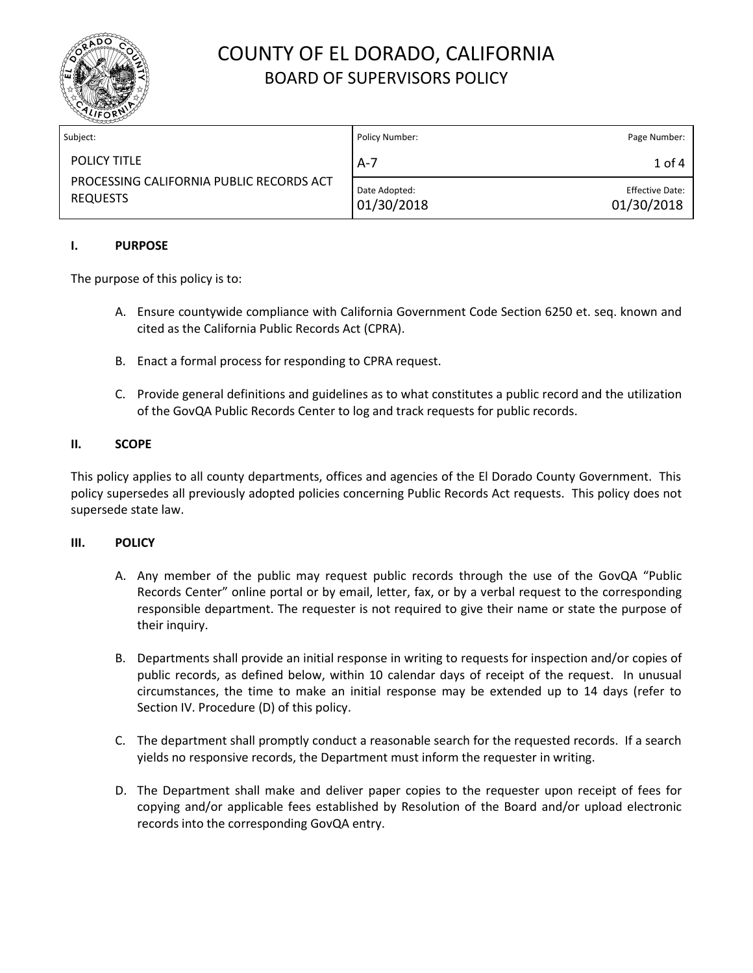

| Subject:                                                                           | Policy Number:              | Page Number:                  |
|------------------------------------------------------------------------------------|-----------------------------|-------------------------------|
| <b>POLICY TITLE</b><br>PROCESSING CALIFORNIA PUBLIC RECORDS ACT<br><b>REQUESTS</b> | $A-7$                       | $1$ of $4$                    |
|                                                                                    | Date Adopted:<br>01/30/2018 | Effective Date:<br>01/30/2018 |

### **I. PURPOSE**

The purpose of this policy is to:

- A. Ensure countywide compliance with California Government Code Section 6250 et. seq. known and cited as the California Public Records Act (CPRA).
- B. Enact a formal process for responding to CPRA request.
- C. Provide general definitions and guidelines as to what constitutes a public record and the utilization of the GovQA Public Records Center to log and track requests for public records.

#### **II. SCOPE**

This policy applies to all county departments, offices and agencies of the El Dorado County Government. This policy supersedes all previously adopted policies concerning Public Records Act requests. This policy does not supersede state law.

#### **III. POLICY**

- A. Any member of the public may request public records through the use of the GovQA "Public Records Center" online portal or by email, letter, fax, or by a verbal request to the corresponding responsible department. The requester is not required to give their name or state the purpose of their inquiry.
- B. Departments shall provide an initial response in writing to requests for inspection and/or copies of public records, as defined below, within 10 calendar days of receipt of the request. In unusual circumstances, the time to make an initial response may be extended up to 14 days (refer to Section IV. Procedure (D) of this policy.
- C. The department shall promptly conduct a reasonable search for the requested records. If a search yields no responsive records, the Department must inform the requester in writing.
- D. The Department shall make and deliver paper copies to the requester upon receipt of fees for copying and/or applicable fees established by Resolution of the Board and/or upload electronic records into the corresponding GovQA entry.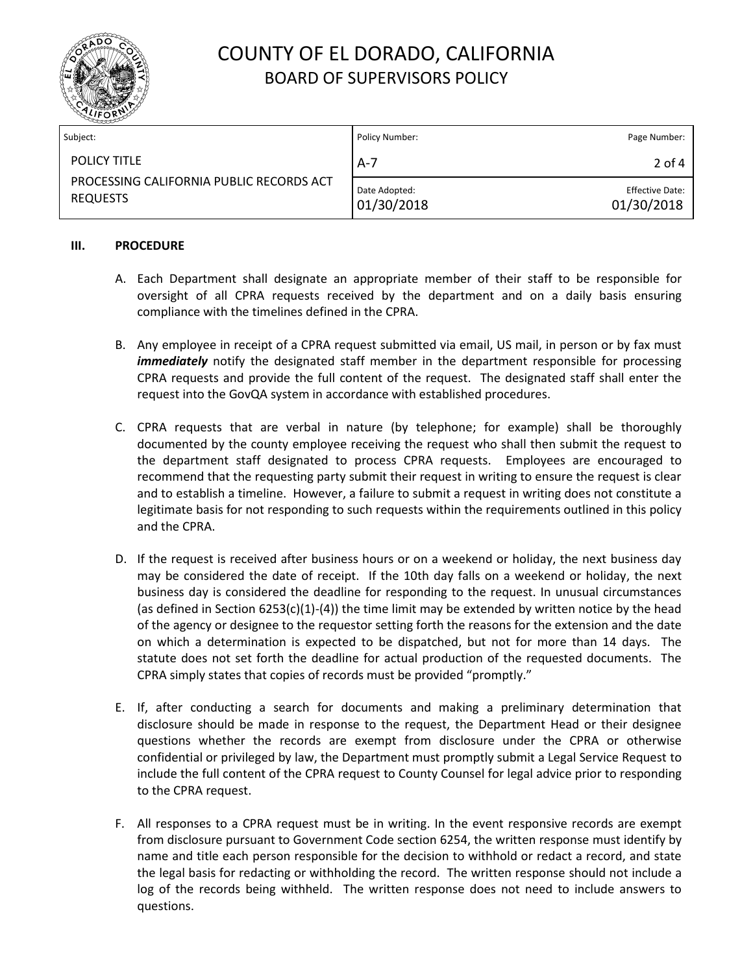

| Subject:                                                                           | Policy Number:              | Page Number:                         |
|------------------------------------------------------------------------------------|-----------------------------|--------------------------------------|
| <b>POLICY TITLE</b><br>PROCESSING CALIFORNIA PUBLIC RECORDS ACT<br><b>REQUESTS</b> | $A-7$                       | $2$ of 4                             |
|                                                                                    | Date Adopted:<br>01/30/2018 | <b>Effective Date:</b><br>01/30/2018 |

#### **III. PROCEDURE**

- A. Each Department shall designate an appropriate member of their staff to be responsible for oversight of all CPRA requests received by the department and on a daily basis ensuring compliance with the timelines defined in the CPRA.
- B. Any employee in receipt of a CPRA request submitted via email, US mail, in person or by fax must *immediately* notify the designated staff member in the department responsible for processing CPRA requests and provide the full content of the request. The designated staff shall enter the request into the GovQA system in accordance with established procedures.
- C. CPRA requests that are verbal in nature (by telephone; for example) shall be thoroughly documented by the county employee receiving the request who shall then submit the request to the department staff designated to process CPRA requests. Employees are encouraged to recommend that the requesting party submit their request in writing to ensure the request is clear and to establish a timeline. However, a failure to submit a request in writing does not constitute a legitimate basis for not responding to such requests within the requirements outlined in this policy and the CPRA.
- D. If the request is received after business hours or on a weekend or holiday, the next business day may be considered the date of receipt. If the 10th day falls on a weekend or holiday, the next business day is considered the deadline for responding to the request. In unusual circumstances (as defined in Section 6253(c)(1)-(4)) the time limit may be extended by written notice by the head of the agency or designee to the requestor setting forth the reasons for the extension and the date on which a determination is expected to be dispatched, but not for more than 14 days. The statute does not set forth the deadline for actual production of the requested documents. The CPRA simply states that copies of records must be provided "promptly."
- E. If, after conducting a search for documents and making a preliminary determination that disclosure should be made in response to the request, the Department Head or their designee questions whether the records are exempt from disclosure under the CPRA or otherwise confidential or privileged by law, the Department must promptly submit a Legal Service Request to include the full content of the CPRA request to County Counsel for legal advice prior to responding to the CPRA request.
- F. All responses to a CPRA request must be in writing. In the event responsive records are exempt from disclosure pursuant to Government Code section 6254, the written response must identify by name and title each person responsible for the decision to withhold or redact a record, and state the legal basis for redacting or withholding the record. The written response should not include a log of the records being withheld. The written response does not need to include answers to questions.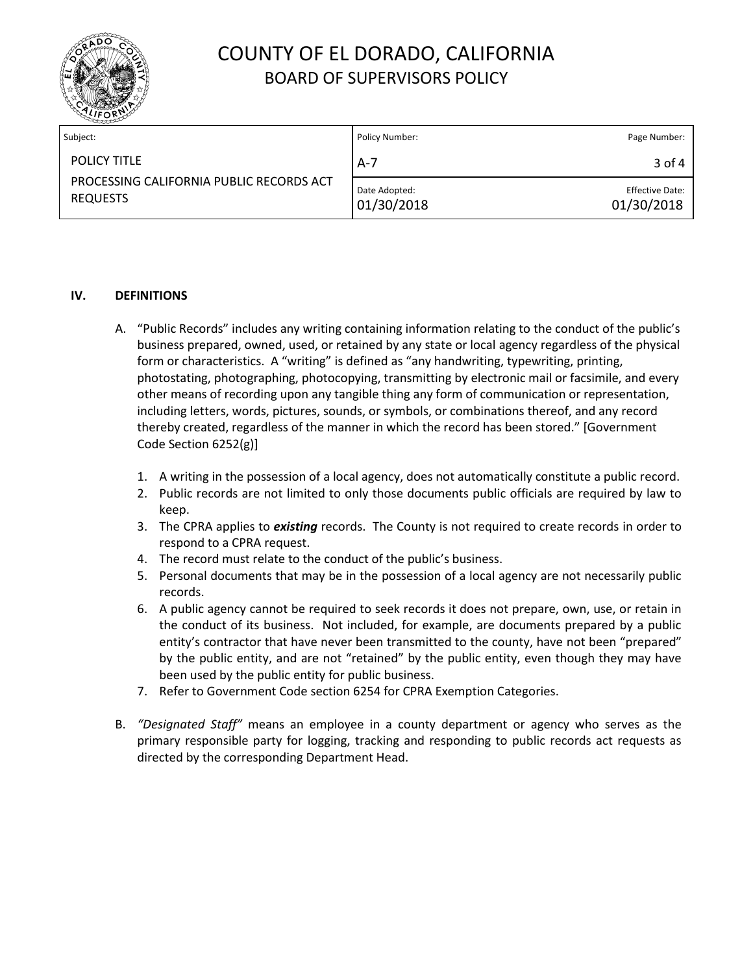

| Subject:                                                                           | Policy Number:              | Page Number:                         |
|------------------------------------------------------------------------------------|-----------------------------|--------------------------------------|
| <b>POLICY TITLE</b><br>PROCESSING CALIFORNIA PUBLIC RECORDS ACT<br><b>REQUESTS</b> | $A-7$                       | 3 of 4                               |
|                                                                                    | Date Adopted:<br>01/30/2018 | <b>Effective Date:</b><br>01/30/2018 |

### **IV. DEFINITIONS**

- A. "Public Records" includes any writing containing information relating to the conduct of the public's business prepared, owned, used, or retained by any state or local agency regardless of the physical form or characteristics. A "writing" is defined as "any handwriting, typewriting, printing, photostating, photographing, photocopying, transmitting by electronic mail or facsimile, and every other means of recording upon any tangible thing any form of communication or representation, including letters, words, pictures, sounds, or symbols, or combinations thereof, and any record thereby created, regardless of the manner in which the record has been stored." [Government Code Section 6252(g)]
	- 1. A writing in the possession of a local agency, does not automatically constitute a public record.
	- 2. Public records are not limited to only those documents public officials are required by law to keep.
	- 3. The CPRA applies to *existing* records. The County is not required to create records in order to respond to a CPRA request.
	- 4. The record must relate to the conduct of the public's business.
	- 5. Personal documents that may be in the possession of a local agency are not necessarily public records.
	- 6. A public agency cannot be required to seek records it does not prepare, own, use, or retain in the conduct of its business. Not included, for example, are documents prepared by a public entity's contractor that have never been transmitted to the county, have not been "prepared" by the public entity, and are not "retained" by the public entity, even though they may have been used by the public entity for public business.
	- 7. Refer to Government Code section 6254 for CPRA Exemption Categories.
- B. *"Designated Staff"* means an employee in a county department or agency who serves as the primary responsible party for logging, tracking and responding to public records act requests as directed by the corresponding Department Head.